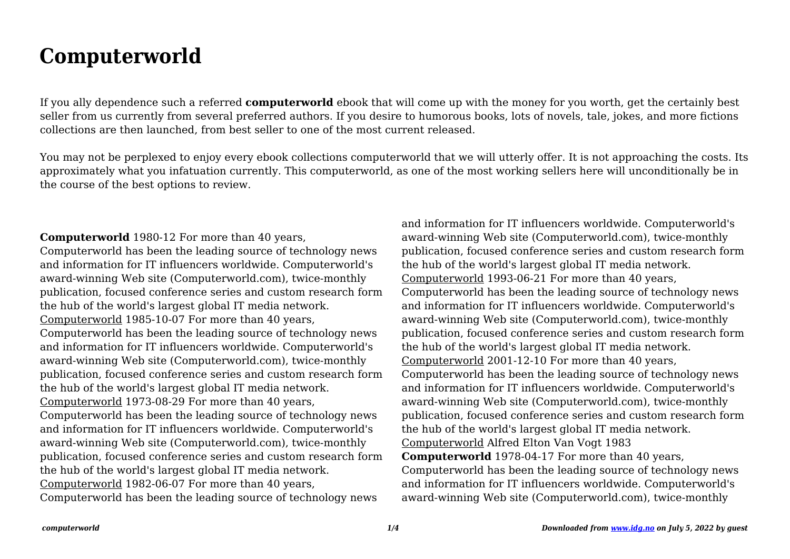## **Computerworld**

If you ally dependence such a referred **computerworld** ebook that will come up with the money for you worth, get the certainly best seller from us currently from several preferred authors. If you desire to humorous books, lots of novels, tale, jokes, and more fictions collections are then launched, from best seller to one of the most current released.

You may not be perplexed to enjoy every ebook collections computerworld that we will utterly offer. It is not approaching the costs. Its approximately what you infatuation currently. This computerworld, as one of the most working sellers here will unconditionally be in the course of the best options to review.

## **Computerworld** 1980-12 For more than 40 years,

Computerworld has been the leading source of technology news and information for IT influencers worldwide. Computerworld's award-winning Web site (Computerworld.com), twice-monthly publication, focused conference series and custom research form the hub of the world's largest global IT media network. Computerworld 1985-10-07 For more than 40 years, Computerworld has been the leading source of technology news and information for IT influencers worldwide. Computerworld's award-winning Web site (Computerworld.com), twice-monthly publication, focused conference series and custom research form the hub of the world's largest global IT media network. Computerworld 1973-08-29 For more than 40 years, Computerworld has been the leading source of technology news and information for IT influencers worldwide. Computerworld's award-winning Web site (Computerworld.com), twice-monthly publication, focused conference series and custom research form the hub of the world's largest global IT media network. Computerworld 1982-06-07 For more than 40 years, Computerworld has been the leading source of technology news

and information for IT influencers worldwide. Computerworld's award-winning Web site (Computerworld.com), twice-monthly publication, focused conference series and custom research form the hub of the world's largest global IT media network. Computerworld 1993-06-21 For more than 40 years, Computerworld has been the leading source of technology news and information for IT influencers worldwide. Computerworld's award-winning Web site (Computerworld.com), twice-monthly publication, focused conference series and custom research form the hub of the world's largest global IT media network. Computerworld 2001-12-10 For more than 40 years, Computerworld has been the leading source of technology news and information for IT influencers worldwide. Computerworld's award-winning Web site (Computerworld.com), twice-monthly publication, focused conference series and custom research form the hub of the world's largest global IT media network. Computerworld Alfred Elton Van Vogt 1983 **Computerworld** 1978-04-17 For more than 40 years, Computerworld has been the leading source of technology news and information for IT influencers worldwide. Computerworld's award-winning Web site (Computerworld.com), twice-monthly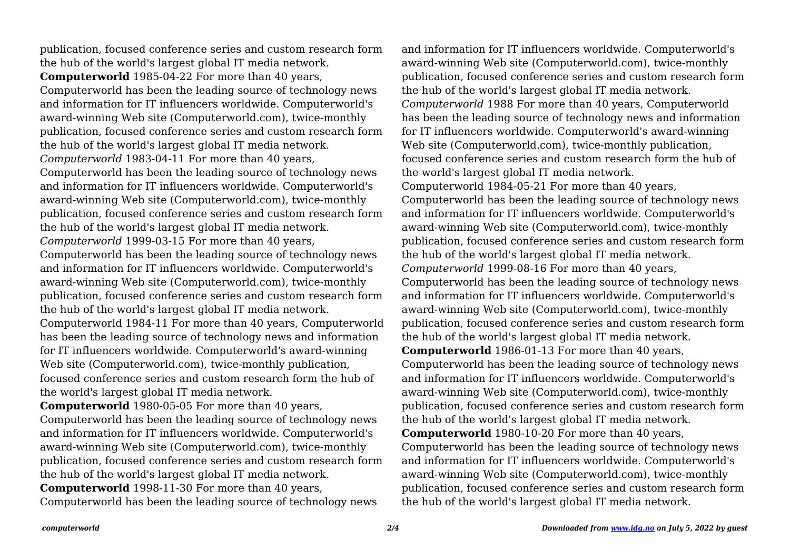publication, focused conference series and custom research form the hub of the world's largest global IT media network. **Computerworld** 1985-04-22 For more than 40 years, Computerworld has been the leading source of technology news and information for IT influencers worldwide. Computerworld's award-winning Web site (Computerworld.com), twice-monthly publication, focused conference series and custom research form the hub of the world's largest global IT media network. *Computerworld* 1983-04-11 For more than 40 years, Computerworld has been the leading source of technology news and information for IT influencers worldwide. Computerworld's award-winning Web site (Computerworld.com), twice-monthly publication, focused conference series and custom research form the hub of the world's largest global IT media network. *Computerworld* 1999-03-15 For more than 40 years, Computerworld has been the leading source of technology news and information for IT influencers worldwide. Computerworld's award-winning Web site (Computerworld.com), twice-monthly publication, focused conference series and custom research form the hub of the world's largest global IT media network. Computerworld 1984-11 For more than 40 years, Computerworld has been the leading source of technology news and information for IT influencers worldwide. Computerworld's award-winning Web site (Computerworld.com), twice-monthly publication, focused conference series and custom research form the hub of the world's largest global IT media network. **Computerworld** 1980-05-05 For more than 40 years, Computerworld has been the leading source of technology news

and information for IT influencers worldwide. Computerworld's award-winning Web site (Computerworld.com), twice-monthly publication, focused conference series and custom research form the hub of the world's largest global IT media network. **Computerworld** 1998-11-30 For more than 40 years,

Computerworld has been the leading source of technology news

and information for IT influencers worldwide. Computerworld's award-winning Web site (Computerworld.com), twice-monthly publication, focused conference series and custom research form the hub of the world's largest global IT media network. *Computerworld* 1988 For more than 40 years, Computerworld has been the leading source of technology news and information for IT influencers worldwide. Computerworld's award-winning Web site (Computerworld.com), twice-monthly publication, focused conference series and custom research form the hub of the world's largest global IT media network. Computerworld 1984-05-21 For more than 40 years, Computerworld has been the leading source of technology news and information for IT influencers worldwide. Computerworld's award-winning Web site (Computerworld.com), twice-monthly publication, focused conference series and custom research form the hub of the world's largest global IT media network. *Computerworld* 1999-08-16 For more than 40 years, Computerworld has been the leading source of technology news and information for IT influencers worldwide. Computerworld's award-winning Web site (Computerworld.com), twice-monthly publication, focused conference series and custom research form the hub of the world's largest global IT media network. **Computerworld** 1986-01-13 For more than 40 years, Computerworld has been the leading source of technology news and information for IT influencers worldwide. Computerworld's award-winning Web site (Computerworld.com), twice-monthly publication, focused conference series and custom research form the hub of the world's largest global IT media network. **Computerworld** 1980-10-20 For more than 40 years, Computerworld has been the leading source of technology news and information for IT influencers worldwide. Computerworld's award-winning Web site (Computerworld.com), twice-monthly publication, focused conference series and custom research form the hub of the world's largest global IT media network.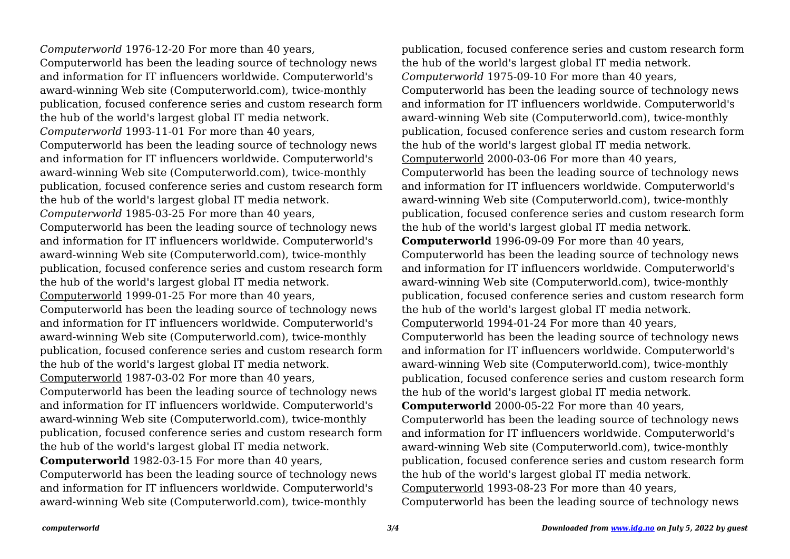*Computerworld* 1976-12-20 For more than 40 years, Computerworld has been the leading source of technology news and information for IT influencers worldwide. Computerworld's award-winning Web site (Computerworld.com), twice-monthly publication, focused conference series and custom research form the hub of the world's largest global IT media network. *Computerworld* 1993-11-01 For more than 40 years, Computerworld has been the leading source of technology news and information for IT influencers worldwide. Computerworld's award-winning Web site (Computerworld.com), twice-monthly publication, focused conference series and custom research form the hub of the world's largest global IT media network. *Computerworld* 1985-03-25 For more than 40 years, Computerworld has been the leading source of technology news and information for IT influencers worldwide. Computerworld's award-winning Web site (Computerworld.com), twice-monthly publication, focused conference series and custom research form the hub of the world's largest global IT media network. Computerworld 1999-01-25 For more than 40 years, Computerworld has been the leading source of technology news and information for IT influencers worldwide. Computerworld's award-winning Web site (Computerworld.com), twice-monthly publication, focused conference series and custom research form the hub of the world's largest global IT media network. Computerworld 1987-03-02 For more than 40 years, Computerworld has been the leading source of technology news and information for IT influencers worldwide. Computerworld's award-winning Web site (Computerworld.com), twice-monthly publication, focused conference series and custom research form the hub of the world's largest global IT media network. **Computerworld** 1982-03-15 For more than 40 years, Computerworld has been the leading source of technology news and information for IT influencers worldwide. Computerworld's

award-winning Web site (Computerworld.com), twice-monthly

publication, focused conference series and custom research form the hub of the world's largest global IT media network. *Computerworld* 1975-09-10 For more than 40 years, Computerworld has been the leading source of technology news and information for IT influencers worldwide. Computerworld's award-winning Web site (Computerworld.com), twice-monthly publication, focused conference series and custom research form the hub of the world's largest global IT media network. Computerworld 2000-03-06 For more than 40 years, Computerworld has been the leading source of technology news and information for IT influencers worldwide. Computerworld's award-winning Web site (Computerworld.com), twice-monthly publication, focused conference series and custom research form the hub of the world's largest global IT media network. **Computerworld** 1996-09-09 For more than 40 years, Computerworld has been the leading source of technology news and information for IT influencers worldwide. Computerworld's award-winning Web site (Computerworld.com), twice-monthly publication, focused conference series and custom research form the hub of the world's largest global IT media network. Computerworld 1994-01-24 For more than 40 years, Computerworld has been the leading source of technology news and information for IT influencers worldwide. Computerworld's award-winning Web site (Computerworld.com), twice-monthly publication, focused conference series and custom research form the hub of the world's largest global IT media network. **Computerworld** 2000-05-22 For more than 40 years, Computerworld has been the leading source of technology news and information for IT influencers worldwide. Computerworld's award-winning Web site (Computerworld.com), twice-monthly publication, focused conference series and custom research form the hub of the world's largest global IT media network. Computerworld 1993-08-23 For more than 40 years, Computerworld has been the leading source of technology news